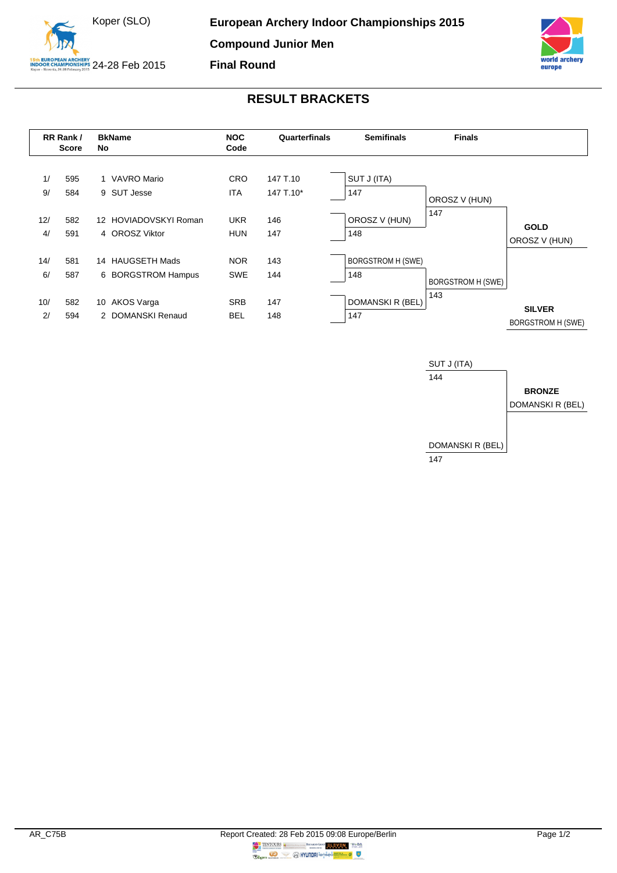



## **RESULT BRACKETS**